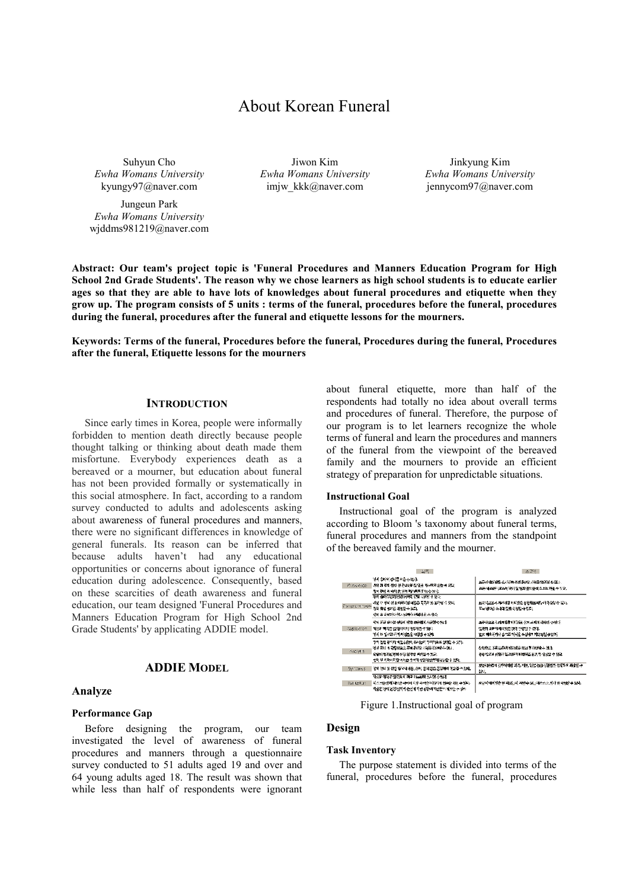# About Korean Funeral

Suhyun Cho *Ewha Womans University* kyungy97@naver.com

Jungeun Park *Ewha Womans University* wjddms981219@naver.com

Jiwon Kim *Ewha Womans University*  imjw\_kkk@naver.com

Jinkyung Kim *Ewha Womans University*  jennycom97@naver.com

**Abstract: Our team's project topic is 'Funeral Procedures and Manners Education Program for High School 2nd Grade Students'. The reason why we chose learners as high school students is to educate earlier ages so that they are able to have lots of knowledges about funeral procedures and etiquette when they grow up. The program consists of 5 units : terms of the funeral, procedures before the funeral, procedures during the funeral, procedures after the funeral and etiquette lessons for the mourners.** 

**Keywords: Terms of the funeral, Procedures before the funeral, Procedures during the funeral, Procedures after the funeral, Etiquette lessons for the mourners** 

# **INTRODUCTION**

Since early times in Korea, people were informally forbidden to mention death directly because people thought talking or thinking about death made them misfortune. Everybody experiences death as a bereaved or a mourner, but education about funeral has not been provided formally or systematically in this social atmosphere. In fact, according to a random survey conducted to adults and adolescents asking about awareness of funeral procedures and manners, there were no significant differences in knowledge of general funerals. Its reason can be inferred that because adults haven't had any educational opportunities or concerns about ignorance of funeral education during adolescence. Consequently, based on these scarcities of death awareness and funeral education, our team designed 'Funeral Procedures and Manners Education Program for High School 2nd Grade Students' by applicating ADDIE model.

# **ADDIE MODEL**

## **Analyze**

## **Performance Gap**

Before designing the program, our team investigated the level of awareness of funeral procedures and manners through a questionnaire survey conducted to 51 adults aged 19 and over and 64 young adults aged 18. The result was shown that while less than half of respondents were ignorant

about funeral etiquette, more than half of the respondents had totally no idea about overall terms and procedures of funeral. Therefore, the purpose of our program is to let learners recognize the whole terms of funeral and learn the procedures and manners of the funeral from the viewpoint of the bereaved family and the mourners to provide an efficient strategy of preparation for unpredictable situations.

#### **Instructional Goal**

Instructional goal of the program is analyzed according to Bloom 's taxonomy about funeral terms, funeral procedures and manners from the standpoint of the bereaved family and the mourner.

|             | 关于                                                                                                                                                 | 表层时                                                                                                 |
|-------------|----------------------------------------------------------------------------------------------------------------------------------------------------|-----------------------------------------------------------------------------------------------------|
| KILOW RUGE  | 경제 (화)이 강제를 되습니다 없다.<br>. 사망 제 같이 정말 및 관념 (유럽 및 을 제시되지 않는 수 있다.<br>명예 70원 최대학 한 인식 제사회로 Film수 있다.                                                  | 표준적 대대 있을 수가 하며 주의하다 남 시청을 확인히 수 있다.<br>26분/NAMP (모든서 해야 할 일과 절이를 레스프트 만들 수 있다.                     |
|             | <b>法定 德纳德克斯瓦维尔德斯 光射 电视影 头 的过去</b><br>내양가 정비 전문에서야할 대항을 폭폭하면 일하면 수 있다.<br>Comprehension 경쟁 정보 발치를 확인할 수 있다.<br>생애 유출배하는 엘시설들은 서북에 참가 있다.            | 医胃性窒息术 지수야할 바람으로 동생했고 나누어 아슬람 수 있다.<br>不容 國特長 杂草基因和 经股份 伞 質別。                                       |
| Application | 막지 교회 아이들 남동차 방법 부동하지 사용할 수 있다.<br>建物料理学者 经相对付购 网络新德 不保护<br>경제 주 일로한 하기 사업들을 시행할 수 있다.                                                             | 조동화요로 부가하다 대표 지원을 심히 사지에 작용할 수 있다.<br>발문의 소문의 대리민은 없다 수변할 수 있다.<br>결못 지하철에나 승규한 지식을 수정하고 지구성할 수 있다. |
| And ye's    | 동의 관련 공사가 이런 상황이 쓰시는데 구매되고도 살았던 수 있다.<br>'영화 중비 시 유명의로도 주세 후이할 사항을 일단할 수 있다<br>대답이 얼마같은데 신청 절차를 부족할 수 있다.<br>성의 왜 처리에 작은 지부는 유적의 상황에 앉아의 남들은 수 있다. | 心想稳定或得远远地 医阿特鲁耳因 医有感情本 建戊<br>동등의 2월 신형원 일조원의 이해지를 꿈건 첫 오랫발 수 있다.                                    |
| Synthess.   | 경제 전이 및 관람 발사의 복용, 손사, 용기 많은 동일하기 학습할 수 있다.                                                                                                        | 교문자조교의 것부에서 이를 되지, 이로, 영문 집을 심원함도 정확하여 지수를 수<br>缺し                                                  |
| Evaluation. | 3) 이 정치 진행 전체의 제대 제도로를 실시할 수 있다.<br>네스프를 종해 대학을 하이어 학술 자체를 직용하여 협회를 해결 수 있다.<br>학습한 경제 관련 일자가 준단에 지원 심형에 대한한 기계적인 수 있다.                            | 포도적 에비 방송 잘 지었는지, 저녁 수 있는 지수소요. 장아 잘 다짐한 수 있다.                                                      |

Figure 1.Instructional goal of program

## **Design**

#### **Task Inventory**

The purpose statement is divided into terms of the funeral, procedures before the funeral, procedures